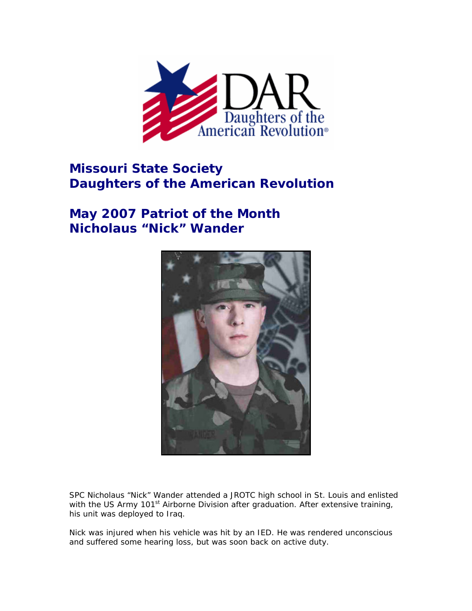

## **Missouri State Society Daughters of the American Revolution**

## **May 2007 Patriot of the Month Nicholaus "Nick" Wander**



SPC Nicholaus "Nick" Wander attended a JROTC high school in St. Louis and enlisted with the US Army 101<sup>st</sup> Airborne Division after graduation. After extensive training, his unit was deployed to Iraq.

Nick was injured when his vehicle was hit by an IED. He was rendered unconscious and suffered some hearing loss, but was soon back on active duty.